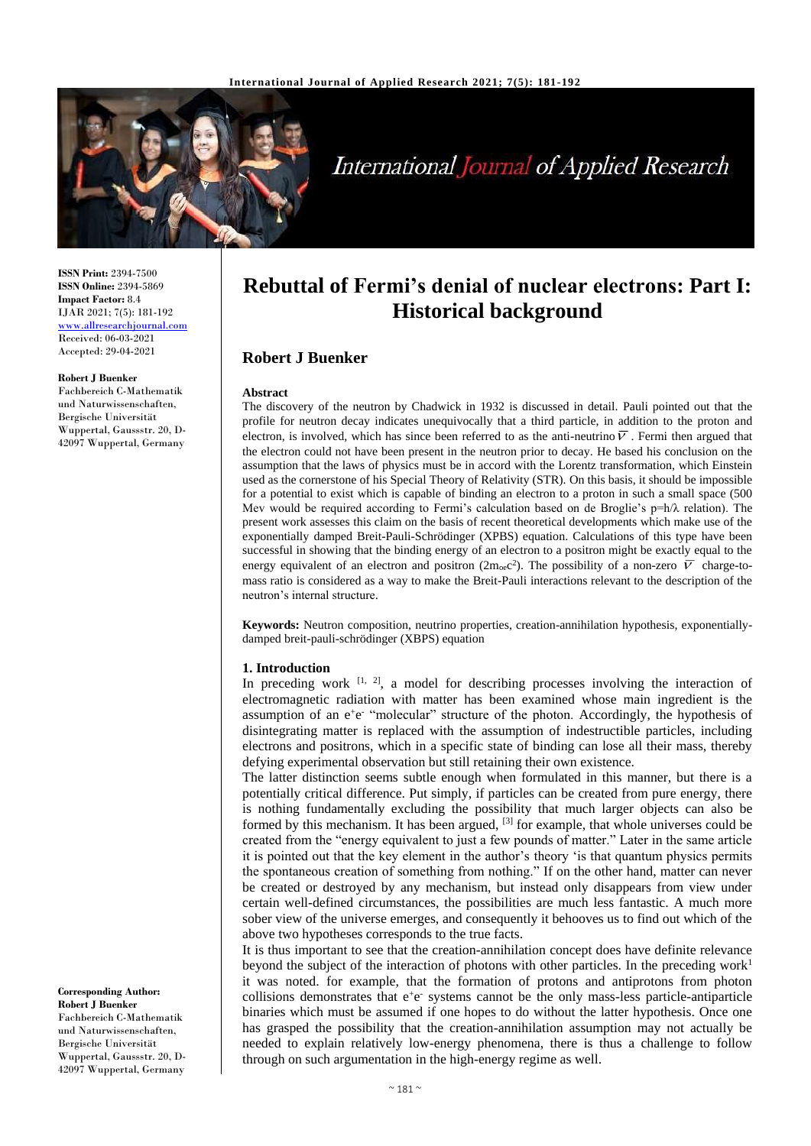

# **International Journal of Applied Research**

**ISSN Print:** 2394-7500 **ISSN Online:** 2394-5869 **Impact Factor:** 8.4 IJAR 2021; 7(5): 181-192 <www.allresearchjournal.com> Received: 06-03-2021 Accepted: 29-04-2021

#### **Robert J Buenker**

Fachbereich C-Mathematik und Naturwissenschaften, Bergische Universität Wuppertal, Gaussstr. 20, D-42097 Wuppertal, Germany

**Corresponding Author: Robert J Buenker** Fachbereich C-Mathematik und Naturwissenschaften, Bergische Universität Wuppertal, Gaussstr. 20, D-42097 Wuppertal, Germany

# **Rebuttal of Fermi's denial of nuclear electrons: Part I: Historical background**

# **Robert J Buenker**

#### **Abstract**

The discovery of the neutron by Chadwick in 1932 is discussed in detail. Pauli pointed out that the profile for neutron decay indicates unequivocally that a third particle, in addition to the proton and electron, is involved, which has since been referred to as the anti-neutrino  $\overline{V}$ . Fermi then argued that the electron could not have been present in the neutron prior to decay. He based his conclusion on the assumption that the laws of physics must be in accord with the Lorentz transformation, which Einstein used as the cornerstone of his Special Theory of Relativity (STR). On this basis, it should be impossible for a potential to exist which is capable of binding an electron to a proton in such a small space (500 Mev would be required according to Fermi's calculation based on de Broglie's  $p=h/\lambda$  relation). The present work assesses this claim on the basis of recent theoretical developments which make use of the exponentially damped Breit-Pauli-Schrödinger (XPBS) equation. Calculations of this type have been successful in showing that the binding energy of an electron to a positron might be exactly equal to the energy equivalent of an electron and positron  $(2m_0e^2)$ . The possibility of a non-zero  $\overline{V}$  charge-tomass ratio is considered as a way to make the Breit-Pauli interactions relevant to the description of the neutron's internal structure.

**Keywords:** Neutron composition, neutrino properties, creation-annihilation hypothesis, exponentiallydamped breit-pauli-schrödinger (XBPS) equation

#### **1. Introduction**

In preceding work  $[1, 2]$ , a model for describing processes involving the interaction of electromagnetic radiation with matter has been examined whose main ingredient is the assumption of an e<sup>+</sup>e<sup>-</sup> "molecular" structure of the photon. Accordingly, the hypothesis of disintegrating matter is replaced with the assumption of indestructible particles, including electrons and positrons, which in a specific state of binding can lose all their mass, thereby defying experimental observation but still retaining their own existence.

The latter distinction seems subtle enough when formulated in this manner, but there is a potentially critical difference. Put simply, if particles can be created from pure energy, there is nothing fundamentally excluding the possibility that much larger objects can also be formed by this mechanism. It has been argued, <sup>[3]</sup> for example, that whole universes could be created from the "energy equivalent to just a few pounds of matter." Later in the same article it is pointed out that the key element in the author's theory 'is that quantum physics permits the spontaneous creation of something from nothing." If on the other hand, matter can never be created or destroyed by any mechanism, but instead only disappears from view under certain well-defined circumstances, the possibilities are much less fantastic. A much more sober view of the universe emerges, and consequently it behooves us to find out which of the above two hypotheses corresponds to the true facts.

It is thus important to see that the creation-annihilation concept does have definite relevance beyond the subject of the interaction of photons with other particles. In the preceding work<sup>1</sup> it was noted. for example, that the formation of protons and antiprotons from photon collisions demonstrates that  $e^+e^-$  systems cannot be the only mass-less particle-antiparticle binaries which must be assumed if one hopes to do without the latter hypothesis. Once one has grasped the possibility that the creation-annihilation assumption may not actually be needed to explain relatively low-energy phenomena, there is thus a challenge to follow through on such argumentation in the high-energy regime as well.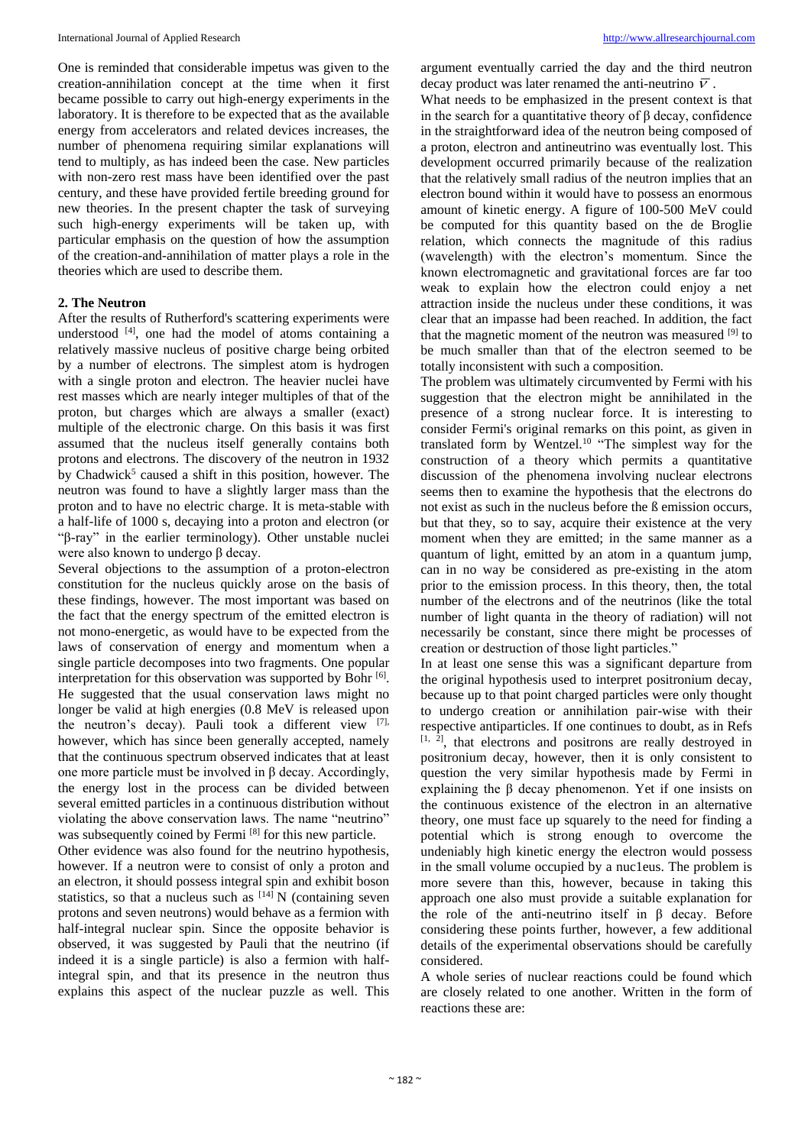One is reminded that considerable impetus was given to the creation-annihilation concept at the time when it first became possible to carry out high-energy experiments in the laboratory. It is therefore to be expected that as the available energy from accelerators and related devices increases, the number of phenomena requiring similar explanations will tend to multiply, as has indeed been the case. New particles with non-zero rest mass have been identified over the past century, and these have provided fertile breeding ground for new theories. In the present chapter the task of surveying such high-energy experiments will be taken up, with particular emphasis on the question of how the assumption of the creation-and-annihilation of matter plays a role in the theories which are used to describe them.

# **2. The Neutron**

After the results of Rutherford's scattering experiments were understood [4], one had the model of atoms containing a relatively massive nucleus of positive charge being orbited by a number of electrons. The simplest atom is hydrogen with a single proton and electron. The heavier nuclei have rest masses which are nearly integer multiples of that of the proton, but charges which are always a smaller (exact) multiple of the electronic charge. On this basis it was first assumed that the nucleus itself generally contains both protons and electrons. The discovery of the neutron in 1932 by Chadwick<sup>5</sup> caused a shift in this position, however. The neutron was found to have a slightly larger mass than the proton and to have no electric charge. It is meta-stable with a half-life of 1000 s, decaying into a proton and electron (or "β-ray" in the earlier terminology). Other unstable nuclei were also known to undergo β decay.

Several objections to the assumption of a proton-electron constitution for the nucleus quickly arose on the basis of these findings, however. The most important was based on the fact that the energy spectrum of the emitted electron is not mono-energetic, as would have to be expected from the laws of conservation of energy and momentum when a single particle decomposes into two fragments. One popular interpretation for this observation was supported by Bohr<sup>[6]</sup>. He suggested that the usual conservation laws might no longer be valid at high energies (0.8 MeV is released upon the neutron's decay). Pauli took a different view [7], however, which has since been generally accepted, namely that the continuous spectrum observed indicates that at least one more particle must be involved in β decay. Accordingly, the energy lost in the process can be divided between several emitted particles in a continuous distribution without violating the above conservation laws. The name "neutrino" was subsequently coined by Fermi<sup>[8]</sup> for this new particle.

Other evidence was also found for the neutrino hypothesis, however. If a neutron were to consist of only a proton and an electron, it should possess integral spin and exhibit boson statistics, so that a nucleus such as  $[14]$  N (containing seven protons and seven neutrons) would behave as a fermion with half-integral nuclear spin. Since the opposite behavior is observed, it was suggested by Pauli that the neutrino (if indeed it is a single particle) is also a fermion with halfintegral spin, and that its presence in the neutron thus explains this aspect of the nuclear puzzle as well. This argument eventually carried the day and the third neutron decay product was later renamed the anti-neutrino  $\overline{V}$ .

What needs to be emphasized in the present context is that in the search for a quantitative theory of β decay, confidence in the straightforward idea of the neutron being composed of a proton, electron and antineutrino was eventually lost. This development occurred primarily because of the realization that the relatively small radius of the neutron implies that an electron bound within it would have to possess an enormous amount of kinetic energy. A figure of 100-500 MeV could be computed for this quantity based on the de Broglie relation, which connects the magnitude of this radius (wavelength) with the electron's momentum. Since the known electromagnetic and gravitational forces are far too weak to explain how the electron could enjoy a net attraction inside the nucleus under these conditions, it was clear that an impasse had been reached. In addition, the fact that the magnetic moment of the neutron was measured [9] to be much smaller than that of the electron seemed to be totally inconsistent with such a composition.

The problem was ultimately circumvented by Fermi with his suggestion that the electron might be annihilated in the presence of a strong nuclear force. It is interesting to consider Fermi's original remarks on this point, as given in translated form by Wentzel.<sup>10</sup> "The simplest way for the construction of a theory which permits a quantitative discussion of the phenomena involving nuclear electrons seems then to examine the hypothesis that the electrons do not exist as such in the nucleus before the ß emission occurs, but that they, so to say, acquire their existence at the very moment when they are emitted; in the same manner as a quantum of light, emitted by an atom in a quantum jump, can in no way be considered as pre-existing in the atom prior to the emission process. In this theory, then, the total number of the electrons and of the neutrinos (like the total number of light quanta in the theory of radiation) will not necessarily be constant, since there might be processes of creation or destruction of those light particles."

In at least one sense this was a significant departure from the original hypothesis used to interpret positronium decay, because up to that point charged particles were only thought to undergo creation or annihilation pair-wise with their respective antiparticles. If one continues to doubt, as in Refs  $[1, 2]$ , that electrons and positrons are really destroyed in positronium decay, however, then it is only consistent to question the very similar hypothesis made by Fermi in explaining the β decay phenomenon. Yet if one insists on the continuous existence of the electron in an alternative theory, one must face up squarely to the need for finding a potential which is strong enough to overcome the undeniably high kinetic energy the electron would possess in the small volume occupied by a nuc1eus. The problem is more severe than this, however, because in taking this approach one also must provide a suitable explanation for the role of the anti-neutrino itself in β decay. Before considering these points further, however, a few additional details of the experimental observations should be carefully considered.

A whole series of nuclear reactions could be found which are closely related to one another. Written in the form of reactions these are: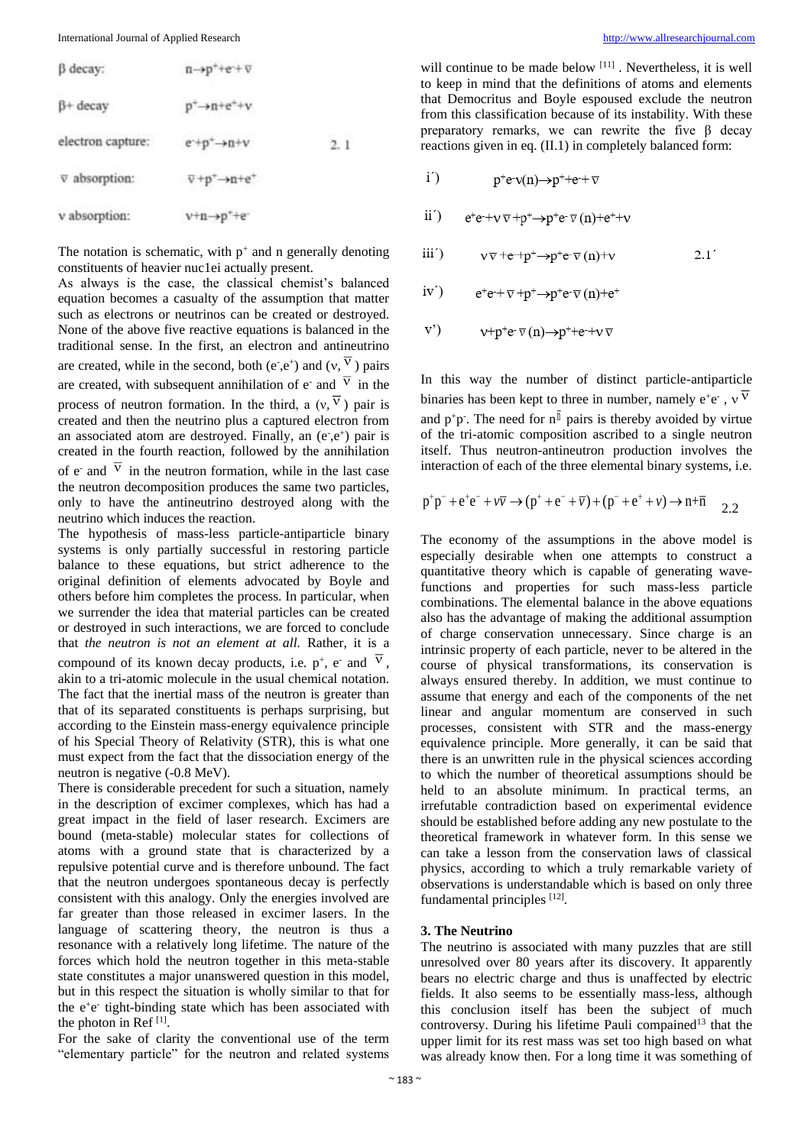| $\beta$ decay:    | $n\rightarrow p^++e^+\overline{v}$                            |     |
|-------------------|---------------------------------------------------------------|-----|
| $\beta$ + decay   | $p^+ \rightarrow n + e^+ + v$                                 |     |
| electron capture: | $e^+p^+\rightarrow n+v$                                       | 2.1 |
| v absorption:     | $\overline{v}$ +p <sup>+</sup> $\rightarrow$ n+e <sup>+</sup> |     |
| v absorption:     | $v+n\rightarrow p^++e^-$                                      |     |

The notation is schematic, with  $p^+$  and n generally denoting constituents of heavier nuc1ei actually present.

As always is the case, the classical chemist's balanced equation becomes a casualty of the assumption that matter such as electrons or neutrinos can be created or destroyed. None of the above five reactive equations is balanced in the traditional sense. In the first, an electron and antineutrino are created, while in the second, both (e<sup>-</sup>,e<sup>+</sup>) and (v, <sup>V</sup>) pairs are created, with subsequent annihilation of  $e^-$  and  $V$  in the process of neutron formation. In the third, a  $(v, V)$  pair is created and then the neutrino plus a captured electron from an associated atom are destroyed. Finally, an  $(e^{\cdot}, e^+)$  pair is created in the fourth reaction, followed by the annihilation of  $e^-$  and  $V$  in the neutron formation, while in the last case the neutron decomposition produces the same two particles, only to have the antineutrino destroyed along with the neutrino which induces the reaction.

The hypothesis of mass-less particle-antiparticle binary systems is only partially successful in restoring particle balance to these equations, but strict adherence to the original definition of elements advocated by Boyle and others before him completes the process. In particular, when we surrender the idea that material particles can be created or destroyed in such interactions, we are forced to conclude that *the neutron is not an element at all.* Rather, it is a compound of its known decay products, i.e.  $p^+$ , e<sup>-</sup> and <sup>V</sup>, akin to a tri-atomic molecule in the usual chemical notation. The fact that the inertial mass of the neutron is greater than that of its separated constituents is perhaps surprising, but according to the Einstein mass-energy equivalence principle of his Special Theory of Relativity (STR), this is what one must expect from the fact that the dissociation energy of the neutron is negative (-0.8 MeV).

There is considerable precedent for such a situation, namely in the description of excimer complexes, which has had a great impact in the field of laser research. Excimers are bound (meta-stable) molecular states for collections of atoms with a ground state that is characterized by a repulsive potential curve and is therefore unbound. The fact that the neutron undergoes spontaneous decay is perfectly consistent with this analogy. Only the energies involved are far greater than those released in excimer lasers. In the language of scattering theory, the neutron is thus a resonance with a relatively long lifetime. The nature of the forces which hold the neutron together in this meta-stable state constitutes a major unanswered question in this model, but in this respect the situation is wholly similar to that for the e<sup>+</sup>e<sup>-</sup> tight-binding state which has been associated with the photon in Ref $[1]$ .

For the sake of clarity the conventional use of the term "elementary particle" for the neutron and related systems

will continue to be made below [11]. Nevertheless, it is well to keep in mind that the definitions of atoms and elements that Democritus and Boyle espoused exclude the neutron from this classification because of its instability. With these preparatory remarks, we can rewrite the five β decay reactions given in eq. (II.1) in completely balanced form:

$$
i') \t p^+e^- \nu(n) \rightarrow p^+ + e^- + \nabla
$$

- $ii')$  $e^+e^+\nu \nabla + p^+ \rightarrow p^+e^-\nabla (n)+e^+ \rightarrow \nu$
- iii<sup>'</sup>)  $v\overline{v}$  +e-+p<sup>+</sup> $\rightarrow$ p<sup>+</sup>e- $\overline{v}$  (n)+v  $2.1'$

iv') 
$$
e^+e^+ \nabla^+ p^+ \rightarrow p^+e^- \nabla(n)+e^+
$$

$$
v') \qquad \mathsf{v} + \mathsf{p}^+ \mathsf{e} \cdot \nabla(\mathsf{n}) \rightarrow \mathsf{p}^+ + \mathsf{e} \cdot + \mathsf{v} \cdot \nabla
$$

In this way the number of distinct particle-antiparticle binaries has been kept to three in number, namely  $e^+e^-$ , v<sup>V</sup> and  $p^+p$ . The need for  $n^{\parallel}$  pairs is thereby avoided by virtue of the tri-atomic composition ascribed to a single neutron itself. Thus neutron-antineutron production involves the interaction of each of the three elemental binary systems, i.e.

$$
p^{+}p^{-} + e^{+}e^{-} + \nu \overline{\nu} \rightarrow (p^{+} + e^{-} + \overline{\nu}) + (p^{-} + e^{+} + \nu) \rightarrow n + \overline{n}
$$
 2.2

The economy of the assumptions in the above model is especially desirable when one attempts to construct a quantitative theory which is capable of generating wavefunctions and properties for such mass-less particle combinations. The elemental balance in the above equations also has the advantage of making the additional assumption of charge conservation unnecessary. Since charge is an intrinsic property of each particle, never to be altered in the course of physical transformations, its conservation is always ensured thereby. In addition, we must continue to assume that energy and each of the components of the net linear and angular momentum are conserved in such processes, consistent with STR and the mass-energy equivalence principle. More generally, it can be said that there is an unwritten rule in the physical sciences according to which the number of theoretical assumptions should be held to an absolute minimum. In practical terms, an irrefutable contradiction based on experimental evidence should be established before adding any new postulate to the theoretical framework in whatever form. In this sense we can take a lesson from the conservation laws of classical physics, according to which a truly remarkable variety of observations is understandable which is based on only three fundamental principles [12].

#### **3. The Neutrino**

The neutrino is associated with many puzzles that are still unresolved over 80 years after its discovery. It apparently bears no electric charge and thus is unaffected by electric fields. It also seems to be essentially mass-less, although this conclusion itself has been the subject of much controversy. During his lifetime Pauli compained<sup>13</sup> that the upper limit for its rest mass was set too high based on what was already know then. For a long time it was something of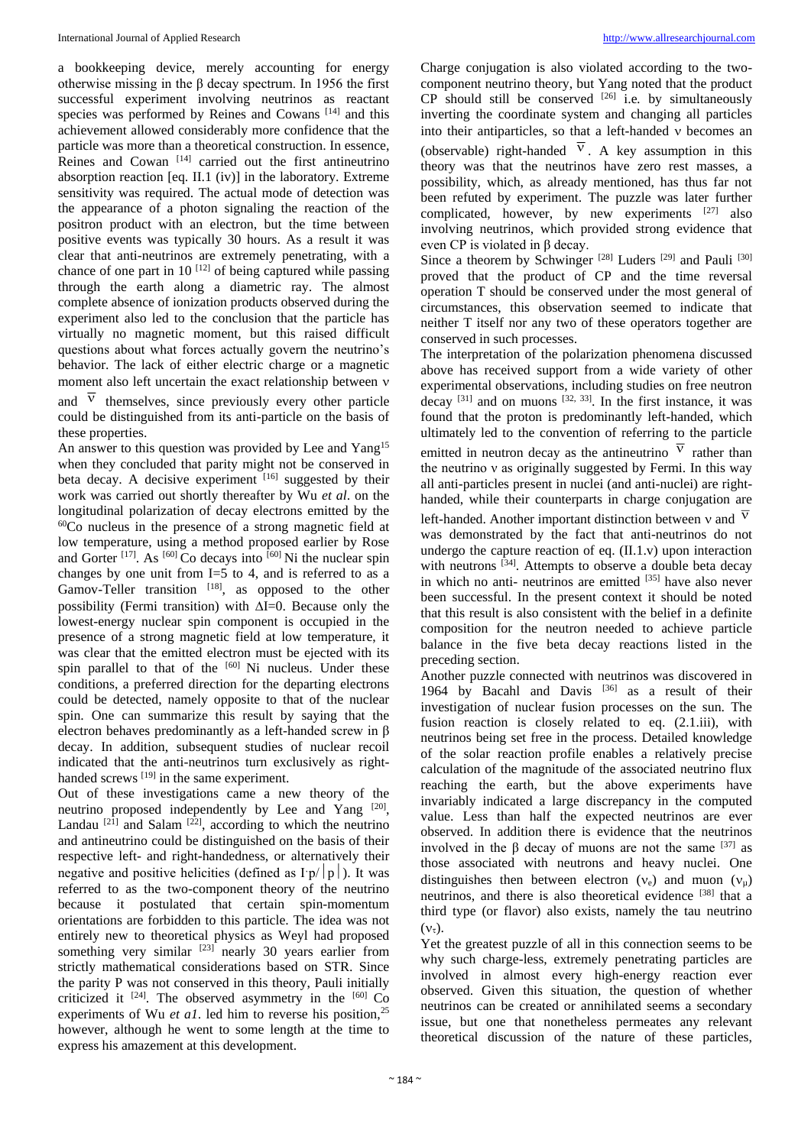a bookkeeping device, merely accounting for energy otherwise missing in the β decay spectrum. In 1956 the first successful experiment involving neutrinos as reactant species was performed by Reines and Cowans<sup>[14]</sup> and this achievement allowed considerably more confidence that the particle was more than a theoretical construction. In essence, Reines and Cowan<sup>[14]</sup> carried out the first antineutrino absorption reaction  $[eq. II.1 (iv)]$  in the laboratory. Extreme sensitivity was required. The actual mode of detection was the appearance of a photon signaling the reaction of the positron product with an electron, but the time between positive events was typically 30 hours. As a result it was clear that anti-neutrinos are extremely penetrating, with a chance of one part in 10  $[12]$  of being captured while passing through the earth along a diametric ray. The almost complete absence of ionization products observed during the experiment also led to the conclusion that the particle has virtually no magnetic moment, but this raised difficult questions about what forces actually govern the neutrino's behavior. The lack of either electric charge or a magnetic moment also left uncertain the exact relationship between  $\nu$ 

and  $\lambda$  themselves, since previously every other particle could be distinguished from its anti-particle on the basis of these properties.

An answer to this question was provided by Lee and Yang<sup>15</sup> when they concluded that parity might not be conserved in beta decay. A decisive experiment [16] suggested by their work was carried out shortly thereafter by Wu *et al*. on the longitudinal polarization of decay electrons emitted by the <sup>60</sup>Co nucleus in the presence of a strong magnetic field at low temperature, using a method proposed earlier by Rose and Gorter  $[17]$ . As  $[60]$  Co decays into  $[60]$  Ni the nuclear spin changes by one unit from I=5 to 4, and is referred to as a Gamov-Teller transition  $[18]$ , as opposed to the other possibility (Fermi transition) with  $\Delta I=0$ . Because only the lowest-energy nuclear spin component is occupied in the presence of a strong magnetic field at low temperature, it was clear that the emitted electron must be ejected with its spin parallel to that of the  $[60]$  Ni nucleus. Under these conditions, a preferred direction for the departing electrons could be detected, namely opposite to that of the nuclear spin. One can summarize this result by saying that the electron behaves predominantly as a left-handed screw in β decay. In addition, subsequent studies of nuclear recoil indicated that the anti-neutrinos turn exclusively as righthanded screws [19] in the same experiment.

Out of these investigations came a new theory of the neutrino proposed independently by Lee and Yang [20], Landau<sup>[21]</sup> and Salam<sup>[22]</sup>, according to which the neutrino and antineutrino could be distinguished on the basis of their respective left- and right-handedness, or alternatively their negative and positive helicities (defined as  $\Gamma p/|p|$ ). It was referred to as the two-component theory of the neutrino because it postulated that certain spin-momentum orientations are forbidden to this particle. The idea was not entirely new to theoretical physics as Weyl had proposed something very similar  $[23]$  nearly 30 years earlier from strictly mathematical considerations based on STR. Since the parity P was not conserved in this theory, Pauli initially criticized it  $[24]$ . The observed asymmetry in the  $[60]$  Co experiments of Wu *et al*. led him to reverse his position,<sup>25</sup> however, although he went to some length at the time to express his amazement at this development.

Charge conjugation is also violated according to the twocomponent neutrino theory, but Yang noted that the product CP should still be conserved [26] i.e*.* by simultaneously inverting the coordinate system and changing all particles into their antiparticles, so that a left-handed  $\nu$  becomes an (observable) right-handed  $V$ . A key assumption in this theory was that the neutrinos have zero rest masses, a possibility, which, as already mentioned, has thus far not been refuted by experiment. The puzzle was later further complicated, however, by new experiments  $[27]$  also involving neutrinos, which provided strong evidence that even CP is violated in β decay.

Since a theorem by Schwinger<sup>[28]</sup> Luders<sup>[29]</sup> and Pauli<sup>[30]</sup> proved that the product of CP and the time reversal operation T should be conserved under the most general of circumstances, this observation seemed to indicate that neither T itself nor any two of these operators together are conserved in such processes.

The interpretation of the polarization phenomena discussed above has received support from a wide variety of other experimental observations, including studies on free neutron decay  $[31]$  and on muons  $[32, 33]$ . In the first instance, it was found that the proton is predominantly left-handed, which ultimately led to the convention of referring to the particle emitted in neutron decay as the antineutrino  $\sqrt{v}$  rather than the neutrino ν as originally suggested by Fermi. In this way all anti-particles present in nuclei (and anti-nuclei) are righthanded, while their counterparts in charge conjugation are left-handed. Another important distinction between  $v$  and  $v$ was demonstrated by the fact that anti-neutrinos do not undergo the capture reaction of eq. (II.1.v) upon interaction with neutrons <sup>[34]</sup>. Attempts to observe a double beta decay in which no anti- neutrinos are emitted  $[35]$  have also never been successful. In the present context it should be noted that this result is also consistent with the belief in a definite composition for the neutron needed to achieve particle balance in the five beta decay reactions listed in the preceding section.

Another puzzle connected with neutrinos was discovered in 1964 by Bacahl and Davis<sup>[36]</sup> as a result of their investigation of nuclear fusion processes on the sun. The fusion reaction is closely related to eq. (2.1.iii), with neutrinos being set free in the process. Detailed knowledge of the solar reaction profile enables a relatively precise calculation of the magnitude of the associated neutrino flux reaching the earth, but the above experiments have invariably indicated a large discrepancy in the computed value. Less than half the expected neutrinos are ever observed. In addition there is evidence that the neutrinos involved in the β decay of muons are not the same  $[37]$  as those associated with neutrons and heavy nuclei. One distinguishes then between electron  $(v_e)$  and muon  $(v_\mu)$ neutrinos, and there is also theoretical evidence [38] that a third type (or flavor) also exists, namely the tau neutrino  $(v_{\tau}).$ 

Yet the greatest puzzle of all in this connection seems to be why such charge-less, extremely penetrating particles are involved in almost every high-energy reaction ever observed. Given this situation, the question of whether neutrinos can be created or annihilated seems a secondary issue, but one that nonetheless permeates any relevant theoretical discussion of the nature of these particles,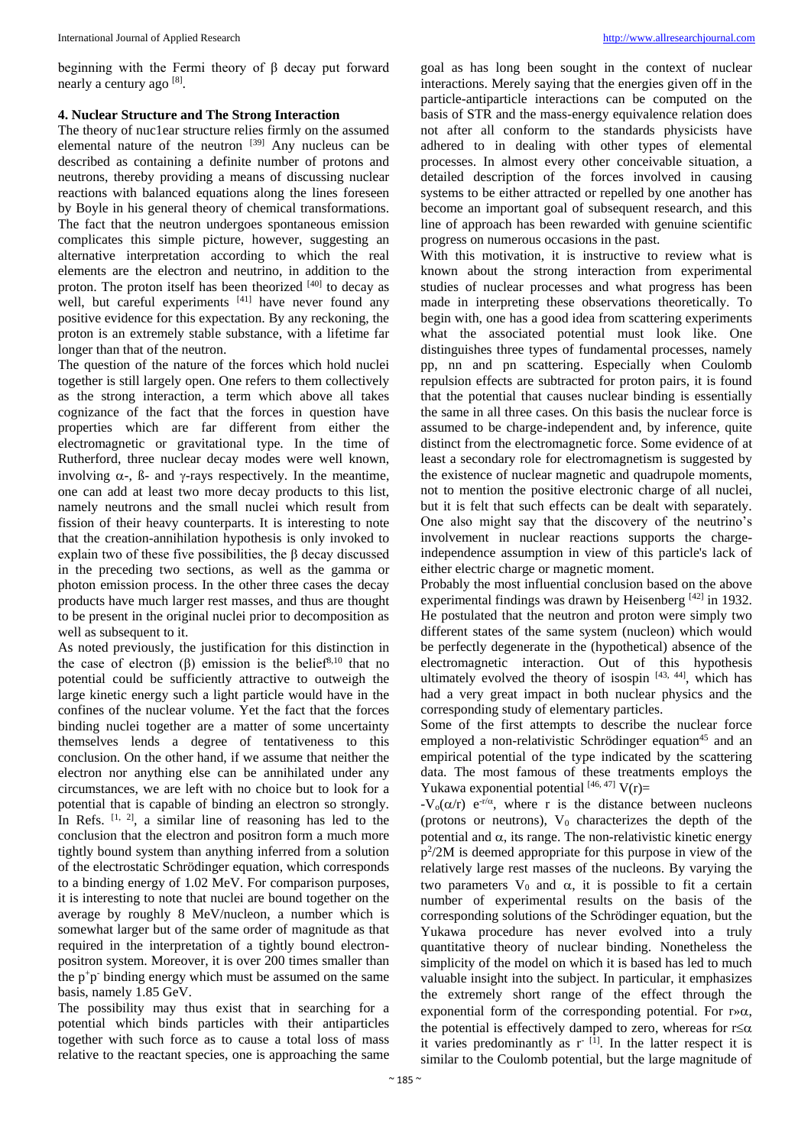beginning with the Fermi theory of β decay put forward nearly a century ago [8].

# **4. Nuclear Structure and The Strong Interaction**

The theory of nuc1ear structure relies firmly on the assumed elemental nature of the neutron [39] Any nucleus can be described as containing a definite number of protons and neutrons, thereby providing a means of discussing nuclear reactions with balanced equations along the lines foreseen by Boyle in his general theory of chemical transformations. The fact that the neutron undergoes spontaneous emission complicates this simple picture, however, suggesting an alternative interpretation according to which the real elements are the electron and neutrino, in addition to the proton. The proton itself has been theorized [40] to decay as well, but careful experiments [41] have never found any positive evidence for this expectation. By any reckoning, the proton is an extremely stable substance, with a lifetime far longer than that of the neutron.

The question of the nature of the forces which hold nuclei together is still largely open. One refers to them collectively as the strong interaction, a term which above all takes cognizance of the fact that the forces in question have properties which are far different from either the electromagnetic or gravitational type. In the time of Rutherford, three nuclear decay modes were well known, involving  $\alpha$ -,  $\beta$ - and  $\gamma$ -rays respectively. In the meantime, one can add at least two more decay products to this list, namely neutrons and the small nuclei which result from fission of their heavy counterparts. It is interesting to note that the creation-annihilation hypothesis is only invoked to explain two of these five possibilities, the β decay discussed in the preceding two sections, as well as the gamma or photon emission process. In the other three cases the decay products have much larger rest masses, and thus are thought to be present in the original nuclei prior to decomposition as well as subsequent to it.

As noted previously, the justification for this distinction in the case of electron (β) emission is the belief<sup>8,10</sup> that no potential could be sufficiently attractive to outweigh the large kinetic energy such a light particle would have in the confines of the nuclear volume. Yet the fact that the forces binding nuclei together are a matter of some uncertainty themselves lends a degree of tentativeness to this conclusion. On the other hand, if we assume that neither the electron nor anything else can be annihilated under any circumstances, we are left with no choice but to look for a potential that is capable of binding an electron so strongly. In Refs.  $[1, 2]$ , a similar line of reasoning has led to the conclusion that the electron and positron form a much more tightly bound system than anything inferred from a solution of the electrostatic Schrödinger equation, which corresponds to a binding energy of 1.02 MeV. For comparison purposes, it is interesting to note that nuclei are bound together on the average by roughly 8 MeV/nucleon, a number which is somewhat larger but of the same order of magnitude as that required in the interpretation of a tightly bound electronpositron system. Moreover, it is over 200 times smaller than the p<sup>+</sup>p<sup>-</sup> binding energy which must be assumed on the same basis, namely 1.85 GeV.

The possibility may thus exist that in searching for a potential which binds particles with their antiparticles together with such force as to cause a total loss of mass relative to the reactant species, one is approaching the same

goal as has long been sought in the context of nuclear interactions. Merely saying that the energies given off in the particle-antiparticle interactions can be computed on the basis of STR and the mass-energy equivalence relation does not after all conform to the standards physicists have adhered to in dealing with other types of elemental processes. In almost every other conceivable situation, a detailed description of the forces involved in causing systems to be either attracted or repelled by one another has become an important goal of subsequent research, and this line of approach has been rewarded with genuine scientific progress on numerous occasions in the past.

With this motivation, it is instructive to review what is known about the strong interaction from experimental studies of nuclear processes and what progress has been made in interpreting these observations theoretically. To begin with, one has a good idea from scattering experiments what the associated potential must look like. One distinguishes three types of fundamental processes, namely pp, nn and pn scattering. Especially when Coulomb repulsion effects are subtracted for proton pairs, it is found that the potential that causes nuclear binding is essentially the same in all three cases. On this basis the nuclear force is assumed to be charge-independent and, by inference, quite distinct from the electromagnetic force. Some evidence of at least a secondary role for electromagnetism is suggested by the existence of nuclear magnetic and quadrupole moments, not to mention the positive electronic charge of all nuclei, but it is felt that such effects can be dealt with separately. One also might say that the discovery of the neutrino's involvement in nuclear reactions supports the chargeindependence assumption in view of this particle's lack of either electric charge or magnetic moment.

Probably the most influential conclusion based on the above experimental findings was drawn by Heisenberg  $[42]$  in 1932. He postulated that the neutron and proton were simply two different states of the same system (nucleon) which would be perfectly degenerate in the (hypothetical) absence of the electromagnetic interaction. Out of this hypothesis ultimately evolved the theory of isospin [43, 44], which has had a very great impact in both nuclear physics and the corresponding study of elementary particles.

Some of the first attempts to describe the nuclear force employed a non-relativistic Schrödinger equation<sup>45</sup> and an empirical potential of the type indicated by the scattering data. The most famous of these treatments employs the Yukawa exponential potential  $[46, 47]$  V(r)=

-V<sub>o</sub>( $\alpha$ /r) e<sup>-r/ $\alpha$ </sup>, where r is the distance between nucleons (protons or neutrons),  $V_0$  characterizes the depth of the potential and  $\alpha$ , its range. The non-relativistic kinetic energy p<sup>2</sup>/2M is deemed appropriate for this purpose in view of the relatively large rest masses of the nucleons. By varying the two parameters  $V_0$  and  $\alpha$ , it is possible to fit a certain number of experimental results on the basis of the corresponding solutions of the Schrödinger equation, but the Yukawa procedure has never evolved into a truly quantitative theory of nuclear binding. Nonetheless the simplicity of the model on which it is based has led to much valuable insight into the subject. In particular, it emphasizes the extremely short range of the effect through the exponential form of the corresponding potential. For  $r \gg \alpha$ , the potential is effectively damped to zero, whereas for  $r \leq \alpha$ it varies predominantly as  $r^{-1}$ . In the latter respect it is similar to the Coulomb potential, but the large magnitude of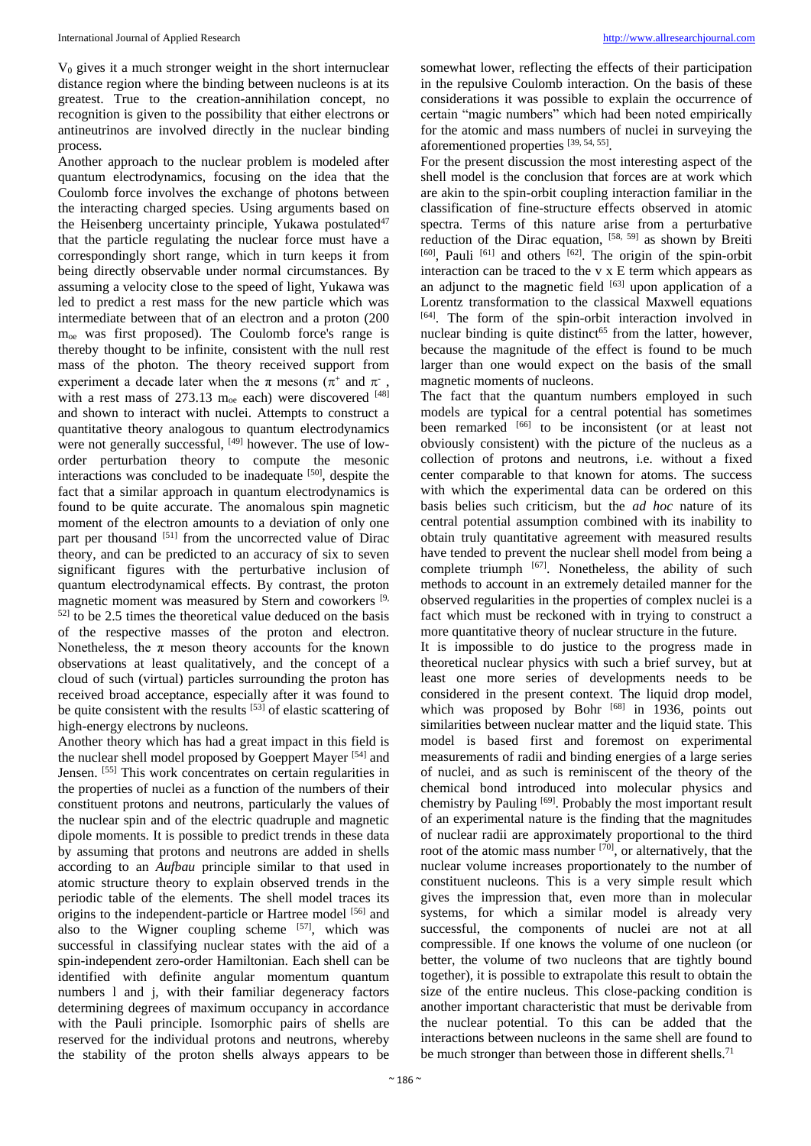$V_0$  gives it a much stronger weight in the short internuclear distance region where the binding between nucleons is at its greatest. True to the creation-annihilation concept, no recognition is given to the possibility that either electrons or antineutrinos are involved directly in the nuclear binding process.

Another approach to the nuclear problem is modeled after quantum electrodynamics, focusing on the idea that the Coulomb force involves the exchange of photons between the interacting charged species. Using arguments based on the Heisenberg uncertainty principle, Yukawa postulated<sup>47</sup> that the particle regulating the nuclear force must have a correspondingly short range, which in turn keeps it from being directly observable under normal circumstances. By assuming a velocity close to the speed of light, Yukawa was led to predict a rest mass for the new particle which was intermediate between that of an electron and a proton (200 moe was first proposed). The Coulomb force's range is thereby thought to be infinite, consistent with the null rest mass of the photon. The theory received support from experiment a decade later when the  $\pi$  mesons ( $\pi^+$  and  $\pi^-$ , with a rest mass of 273.13  $m_{oe}$  each) were discovered [48] and shown to interact with nuclei. Attempts to construct a quantitative theory analogous to quantum electrodynamics were not generally successful, <sup>[49]</sup> however. The use of loworder perturbation theory to compute the mesonic interactions was concluded to be inadequate <sup>[50]</sup>, despite the fact that a similar approach in quantum electrodynamics is found to be quite accurate. The anomalous spin magnetic moment of the electron amounts to a deviation of only one part per thousand [51] from the uncorrected value of Dirac theory, and can be predicted to an accuracy of six to seven significant figures with the perturbative inclusion of quantum electrodynamical effects. By contrast, the proton magnetic moment was measured by Stern and coworkers <sup>[9,</sup>  $52$ ] to be 2.5 times the theoretical value deduced on the basis of the respective masses of the proton and electron. Nonetheless, the  $\pi$  meson theory accounts for the known observations at least qualitatively, and the concept of a cloud of such (virtual) particles surrounding the proton has received broad acceptance, especially after it was found to be quite consistent with the results  $[53]$  of elastic scattering of high-energy electrons by nucleons.

Another theory which has had a great impact in this field is the nuclear shell model proposed by Goeppert Mayer<sup>[54]</sup> and Jensen. [55] This work concentrates on certain regularities in the properties of nuclei as a function of the numbers of their constituent protons and neutrons, particularly the values of the nuclear spin and of the electric quadruple and magnetic dipole moments. It is possible to predict trends in these data by assuming that protons and neutrons are added in shells according to an *Aufbau* principle similar to that used in atomic structure theory to explain observed trends in the periodic table of the elements. The shell model traces its origins to the independent-particle or Hartree model [56] and also to the Wigner coupling scheme [57], which was successful in classifying nuclear states with the aid of a spin-independent zero-order Hamiltonian. Each shell can be identified with definite angular momentum quantum numbers l and j, with their familiar degeneracy factors determining degrees of maximum occupancy in accordance with the Pauli principle. Isomorphic pairs of shells are reserved for the individual protons and neutrons, whereby the stability of the proton shells always appears to be

somewhat lower, reflecting the effects of their participation in the repulsive Coulomb interaction. On the basis of these considerations it was possible to explain the occurrence of certain "magic numbers" which had been noted empirically for the atomic and mass numbers of nuclei in surveying the aforementioned properties [39, 54, 55] .

For the present discussion the most interesting aspect of the shell model is the conclusion that forces are at work which are akin to the spin-orbit coupling interaction familiar in the classification of fine-structure effects observed in atomic spectra. Terms of this nature arise from a perturbative reduction of the Dirac equation, [58, 59] as shown by Breiti [60], Pauli [61] and others [62]. The origin of the spin-orbit interaction can be traced to the v x E term which appears as an adjunct to the magnetic field  $[63]$  upon application of a Lorentz transformation to the classical Maxwell equations [64]. The form of the spin-orbit interaction involved in nuclear binding is quite distinct<sup>65</sup> from the latter, however, because the magnitude of the effect is found to be much larger than one would expect on the basis of the small magnetic moments of nucleons.

The fact that the quantum numbers employed in such models are typical for a central potential has sometimes been remarked [66] to be inconsistent (or at least not obviously consistent) with the picture of the nucleus as a collection of protons and neutrons, i.e*.* without a fixed center comparable to that known for atoms. The success with which the experimental data can be ordered on this basis belies such criticism, but the *ad hoc* nature of its central potential assumption combined with its inability to obtain truly quantitative agreement with measured results have tended to prevent the nuclear shell model from being a complete triumph [67]. Nonetheless, the ability of such methods to account in an extremely detailed manner for the observed regularities in the properties of complex nuclei is a fact which must be reckoned with in trying to construct a more quantitative theory of nuclear structure in the future.

It is impossible to do justice to the progress made in theoretical nuclear physics with such a brief survey, but at least one more series of developments needs to be considered in the present context. The liquid drop model, which was proposed by Bohr <sup>[68]</sup> in 1936, points out similarities between nuclear matter and the liquid state. This model is based first and foremost on experimental measurements of radii and binding energies of a large series of nuclei, and as such is reminiscent of the theory of the chemical bond introduced into molecular physics and chemistry by Pauling<sup>[69]</sup>. Probably the most important result of an experimental nature is the finding that the magnitudes of nuclear radii are approximately proportional to the third root of the atomic mass number  $[70]$ , or alternatively, that the nuclear volume increases proportionately to the number of constituent nucleons. This is a very simple result which gives the impression that, even more than in molecular systems, for which a similar model is already very successful, the components of nuclei are not at all compressible. If one knows the volume of one nucleon (or better, the volume of two nucleons that are tightly bound together), it is possible to extrapolate this result to obtain the size of the entire nucleus. This close-packing condition is another important characteristic that must be derivable from the nuclear potential. To this can be added that the interactions between nucleons in the same shell are found to be much stronger than between those in different shells.<sup>71</sup>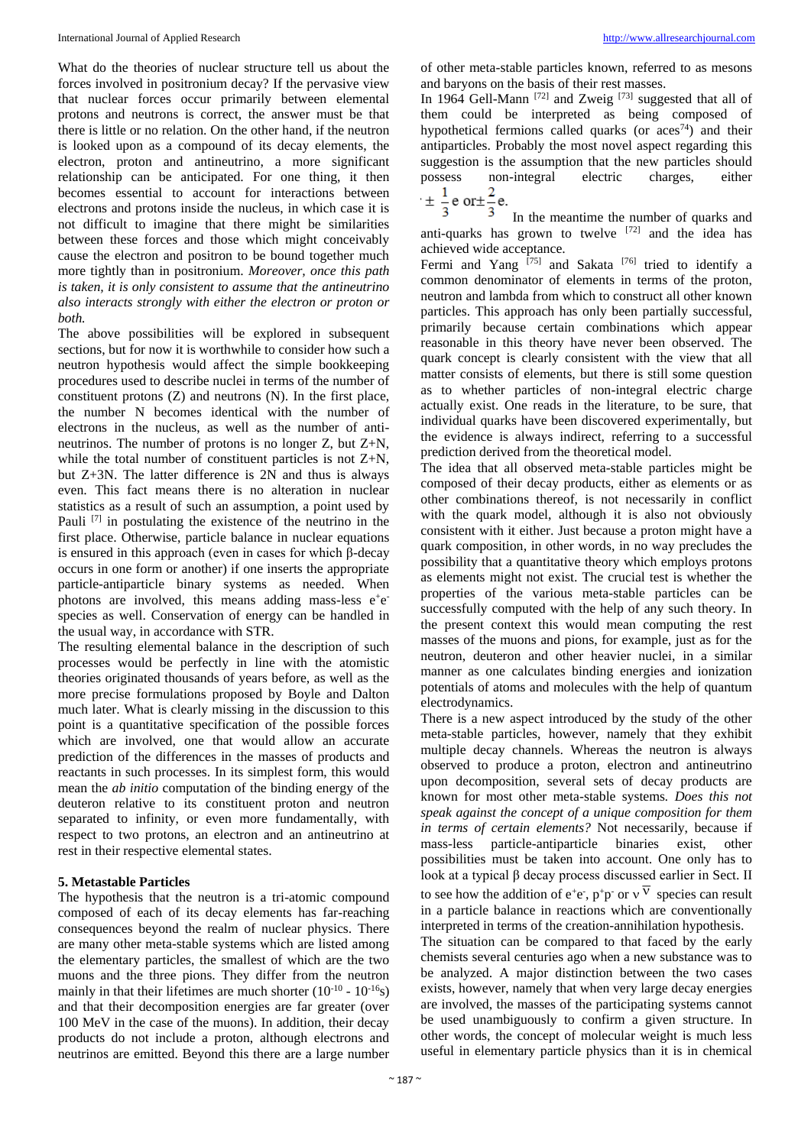What do the theories of nuclear structure tell us about the forces involved in positronium decay? If the pervasive view that nuclear forces occur primarily between elemental protons and neutrons is correct, the answer must be that there is little or no relation. On the other hand, if the neutron is looked upon as a compound of its decay elements, the electron, proton and antineutrino, a more significant relationship can be anticipated. For one thing, it then becomes essential to account for interactions between electrons and protons inside the nucleus, in which case it is not difficult to imagine that there might be similarities between these forces and those which might conceivably cause the electron and positron to be bound together much more tightly than in positronium. *Moreover, once this path is taken, it is only consistent to assume that the antineutrino also interacts strongly with either the electron or proton or both.* 

The above possibilities will be explored in subsequent sections, but for now it is worthwhile to consider how such a neutron hypothesis would affect the simple bookkeeping procedures used to describe nuclei in terms of the number of constituent protons (Z) and neutrons (N). In the first place, the number N becomes identical with the number of electrons in the nucleus, as well as the number of antineutrinos. The number of protons is no longer Z, but Z+N, while the total number of constituent particles is not Z+N, but Z+3N. The latter difference is 2N and thus is always even. This fact means there is no alteration in nuclear statistics as a result of such an assumption, a point used by Pauli  $[7]$  in postulating the existence of the neutrino in the first place. Otherwise, particle balance in nuclear equations is ensured in this approach (even in cases for which β-decay occurs in one form or another) if one inserts the appropriate particle-antiparticle binary systems as needed. When photons are involved, this means adding mass-less e<sup>+</sup>e<sup>-</sup> species as well. Conservation of energy can be handled in the usual way, in accordance with STR.

The resulting elemental balance in the description of such processes would be perfectly in line with the atomistic theories originated thousands of years before, as well as the more precise formulations proposed by Boyle and Dalton much later. What is clearly missing in the discussion to this point is a quantitative specification of the possible forces which are involved, one that would allow an accurate prediction of the differences in the masses of products and reactants in such processes. In its simplest form, this would mean the *ab initio* computation of the binding energy of the deuteron relative to its constituent proton and neutron separated to infinity, or even more fundamentally, with respect to two protons, an electron and an antineutrino at rest in their respective elemental states.

#### **5. Metastable Particles**

The hypothesis that the neutron is a tri-atomic compound composed of each of its decay elements has far-reaching consequences beyond the realm of nuclear physics. There are many other meta-stable systems which are listed among the elementary particles, the smallest of which are the two muons and the three pions. They differ from the neutron mainly in that their lifetimes are much shorter  $(10^{-10} - 10^{-16} s)$ and that their decomposition energies are far greater (over 100 MeV in the case of the muons). In addition, their decay products do not include a proton, although electrons and neutrinos are emitted. Beyond this there are a large number

of other meta-stable particles known, referred to as mesons and baryons on the basis of their rest masses.

In 1964 Gell-Mann<sup>[72]</sup> and Zweig<sup>[73]</sup> suggested that all of them could be interpreted as being composed of hypothetical fermions called quarks (or  $aces^{74}$ ) and their antiparticles. Probably the most novel aspect regarding this suggestion is the assumption that the new particles should possess non-integral electric charges, either<br>  $\pm \frac{1}{3}$  e or  $\pm \frac{2}{3}$  e.



In the meantime the number of quarks and anti-quarks has grown to twelve [72] and the idea has achieved wide acceptance.

Fermi and Yang <a>[75]</a> and Sakata <a>[76]</a> tried to identify a common denominator of elements in terms of the proton, neutron and lambda from which to construct all other known particles. This approach has only been partially successful, primarily because certain combinations which appear reasonable in this theory have never been observed. The quark concept is clearly consistent with the view that all matter consists of elements, but there is still some question as to whether particles of non-integral electric charge actually exist. One reads in the literature, to be sure, that individual quarks have been discovered experimentally, but the evidence is always indirect, referring to a successful prediction derived from the theoretical model.

The idea that all observed meta-stable particles might be composed of their decay products, either as elements or as other combinations thereof, is not necessarily in conflict with the quark model, although it is also not obviously consistent with it either. Just because a proton might have a quark composition, in other words, in no way precludes the possibility that a quantitative theory which employs protons as elements might not exist. The crucial test is whether the properties of the various meta-stable particles can be successfully computed with the help of any such theory. In the present context this would mean computing the rest masses of the muons and pions, for example, just as for the neutron, deuteron and other heavier nuclei, in a similar manner as one calculates binding energies and ionization potentials of atoms and molecules with the help of quantum electrodynamics.

There is a new aspect introduced by the study of the other meta-stable particles, however, namely that they exhibit multiple decay channels. Whereas the neutron is always observed to produce a proton, electron and antineutrino upon decomposition, several sets of decay products are known for most other meta-stable systems*. Does this not speak against the concept of a unique composition for them in terms of certain elements?* Not necessarily, because if mass-less particle-antiparticle binaries exist, other possibilities must be taken into account. One only has to look at a typical β decay process discussed earlier in Sect. II to see how the addition of  $e^+e^-, p^+p^-$  or  $v^{\vee}$  species can result in a particle balance in reactions which are conventionally interpreted in terms of the creation-annihilation hypothesis. The situation can be compared to that faced by the early chemists several centuries ago when a new substance was to be analyzed. A major distinction between the two cases exists, however, namely that when very large decay energies are involved, the masses of the participating systems cannot be used unambiguously to confirm a given structure. In other words, the concept of molecular weight is much less useful in elementary particle physics than it is in chemical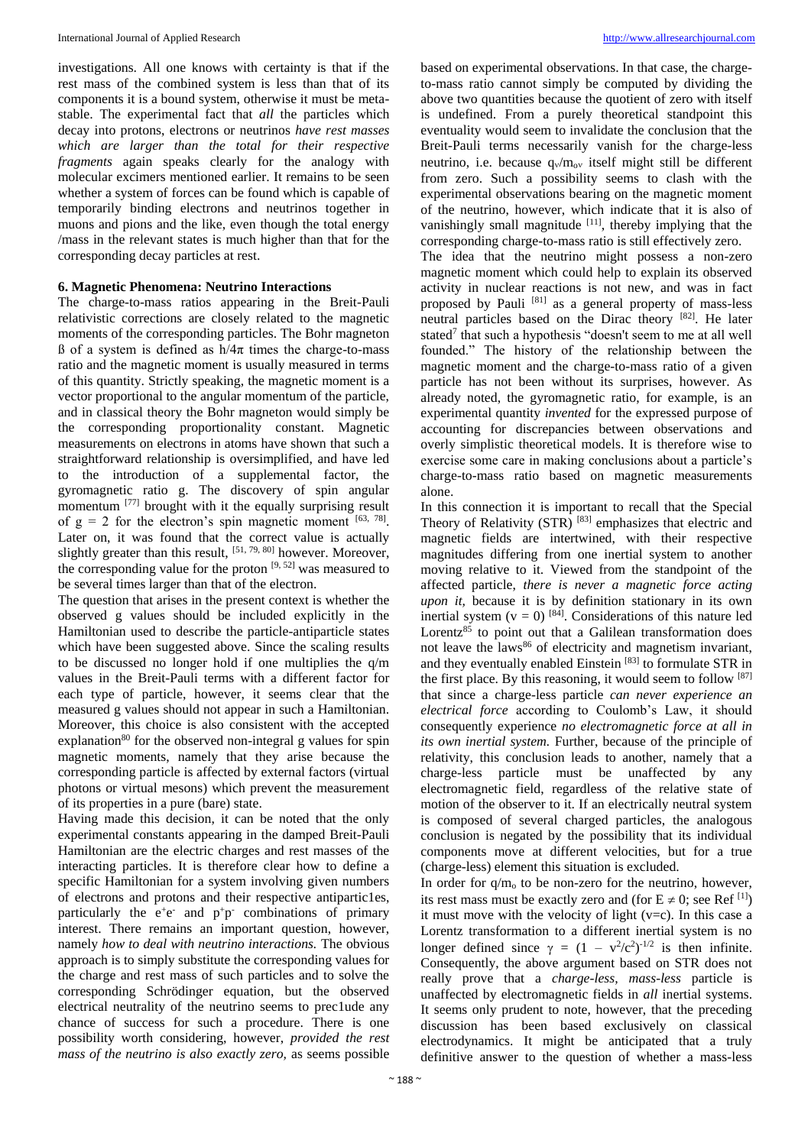investigations. All one knows with certainty is that if the rest mass of the combined system is less than that of its components it is a bound system, otherwise it must be metastable. The experimental fact that *all* the particles which decay into protons, electrons or neutrinos *have rest masses which are larger than the total for their respective fragments* again speaks clearly for the analogy with molecular excimers mentioned earlier. It remains to be seen whether a system of forces can be found which is capable of temporarily binding electrons and neutrinos together in muons and pions and the like, even though the total energy /mass in the relevant states is much higher than that for the corresponding decay particles at rest.

# **6. Magnetic Phenomena: Neutrino Interactions**

The charge-to-mass ratios appearing in the Breit-Pauli relativistic corrections are closely related to the magnetic moments of the corresponding particles. The Bohr magneton ß of a system is defined as h/4π times the charge-to-mass ratio and the magnetic moment is usually measured in terms of this quantity. Strictly speaking, the magnetic moment is a vector proportional to the angular momentum of the particle, and in classical theory the Bohr magneton would simply be the corresponding proportionality constant. Magnetic measurements on electrons in atoms have shown that such a straightforward relationship is oversimplified, and have led to the introduction of a supplemental factor, the gyromagnetic ratio g. The discovery of spin angular momentum [77] brought with it the equally surprising result of  $g = 2$  for the electron's spin magnetic moment  $[63, 78]$ . Later on, it was found that the correct value is actually slightly greater than this result,  $[51, 79, 80]$  however. Moreover, the corresponding value for the proton  $[9, 52]$  was measured to be several times larger than that of the electron.

The question that arises in the present context is whether the observed g values should be included explicitly in the Hamiltonian used to describe the particle-antiparticle states which have been suggested above. Since the scaling results to be discussed no longer hold if one multiplies the q/m values in the Breit-Pauli terms with a different factor for each type of particle, however, it seems clear that the measured g values should not appear in such a Hamiltonian. Moreover, this choice is also consistent with the accepted explanation<sup>80</sup> for the observed non-integral g values for spin magnetic moments, namely that they arise because the corresponding particle is affected by external factors (virtual photons or virtual mesons) which prevent the measurement of its properties in a pure (bare) state.

Having made this decision, it can be noted that the only experimental constants appearing in the damped Breit-Pauli Hamiltonian are the electric charges and rest masses of the interacting particles. It is therefore clear how to define a specific Hamiltonian for a system involving given numbers of electrons and protons and their respective antipartic1es, particularly the  $e^+e^-$  and  $p^+p^-$  combinations of primary interest. There remains an important question, however, namely *how to deal with neutrino interactions.* The obvious approach is to simply substitute the corresponding values for the charge and rest mass of such particles and to solve the corresponding Schrödinger equation, but the observed electrical neutrality of the neutrino seems to prec1ude any chance of success for such a procedure. There is one possibility worth considering, however, *provided the rest mass of the neutrino is also exactly zero,* as seems possible

based on experimental observations. In that case, the chargeto-mass ratio cannot simply be computed by dividing the above two quantities because the quotient of zero with itself is undefined. From a purely theoretical standpoint this eventuality would seem to invalidate the conclusion that the Breit-Pauli terms necessarily vanish for the charge-less neutrino, i.e. because  $q_v/m_{ov}$  itself might still be different from zero. Such a possibility seems to clash with the experimental observations bearing on the magnetic moment of the neutrino, however, which indicate that it is also of vanishingly small magnitude [11], thereby implying that the corresponding charge-to-mass ratio is still effectively zero.

The idea that the neutrino might possess a non-zero magnetic moment which could help to explain its observed activity in nuclear reactions is not new, and was in fact proposed by Pauli<sup>[81]</sup> as a general property of mass-less neutral particles based on the Dirac theory [82] . He later stated<sup>7</sup> that such a hypothesis "doesn't seem to me at all well founded." The history of the relationship between the magnetic moment and the charge-to-mass ratio of a given particle has not been without its surprises, however. As already noted, the gyromagnetic ratio, for example, is an experimental quantity *invented* for the expressed purpose of accounting for discrepancies between observations and overly simplistic theoretical models. It is therefore wise to exercise some care in making conclusions about a particle's charge-to-mass ratio based on magnetic measurements alone.

In this connection it is important to recall that the Special Theory of Relativity (STR) [83] emphasizes that electric and magnetic fields are intertwined, with their respective magnitudes differing from one inertial system to another moving relative to it. Viewed from the standpoint of the affected particle, *there is never a magnetic force acting upon it,* because it is by definition stationary in its own inertial system ( $v = 0$ ) [84]. Considerations of this nature led Lorentz<sup>85</sup> to point out that a Galilean transformation does not leave the laws<sup>86</sup> of electricity and magnetism invariant, and they eventually enabled Einstein<sup>[83]</sup> to formulate STR in the first place. By this reasoning, it would seem to follow  $[87]$ that since a charge-less particle *can never experience an electrical force* according to Coulomb's Law, it should consequently experience *no electromagnetic force at all in its own inertial system.* Further, because of the principle of relativity, this conclusion leads to another, namely that a charge-less particle must be unaffected by any electromagnetic field, regardless of the relative state of motion of the observer to it. If an electrically neutral system is composed of several charged particles, the analogous conclusion is negated by the possibility that its individual components move at different velocities, but for a true (charge-less) element this situation is excluded.

In order for  $q/m_0$  to be non-zero for the neutrino, however, its rest mass must be exactly zero and (for  $E \neq 0$ ; see Ref<sup>[1]</sup>) it must move with the velocity of light ( $v=c$ ). In this case a Lorentz transformation to a different inertial system is no longer defined since  $\gamma = (1 - v^2/c^2)^{-1/2}$  is then infinite. Consequently, the above argument based on STR does not really prove that a *charge-less, mass-less* particle is unaffected by electromagnetic fields in *all* inertial systems. It seems only prudent to note, however, that the preceding discussion has been based exclusively on classical electrodynamics. It might be anticipated that a truly definitive answer to the question of whether a mass-less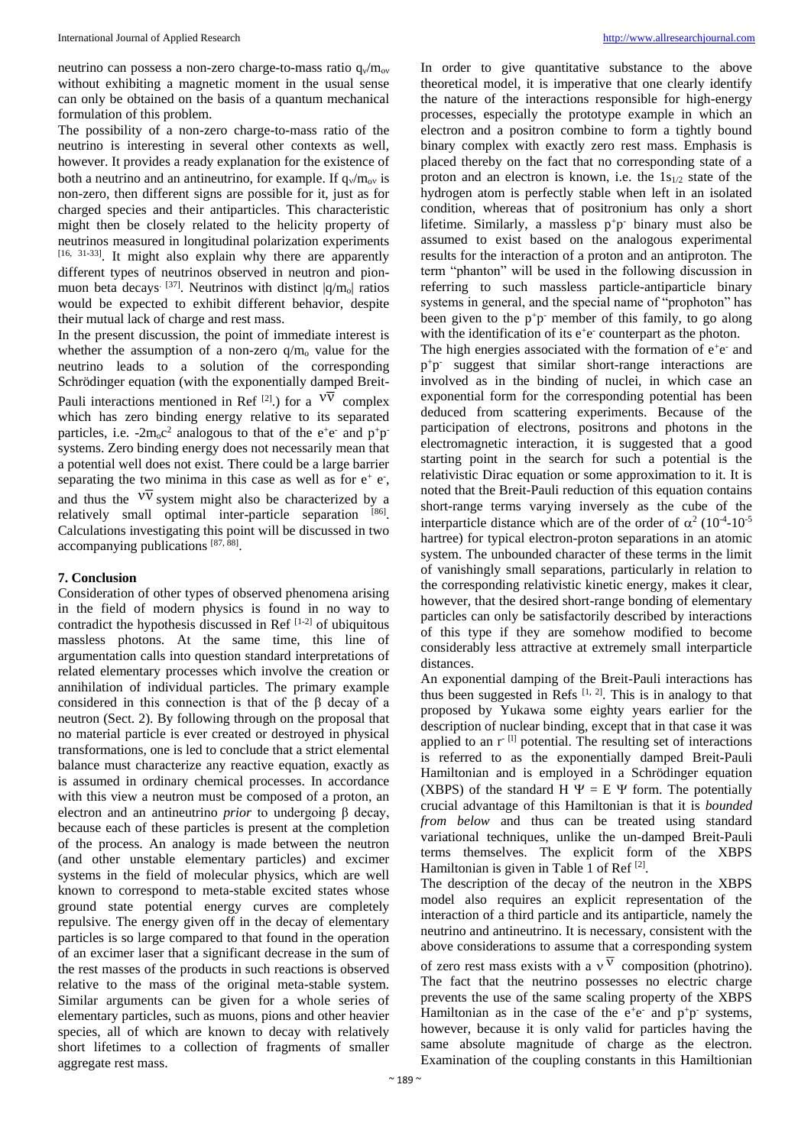neutrino can possess a non-zero charge-to-mass ratio  $q_v/m_{ov}$ without exhibiting a magnetic moment in the usual sense can only be obtained on the basis of a quantum mechanical formulation of this problem.

The possibility of a non-zero charge-to-mass ratio of the neutrino is interesting in several other contexts as well, however. It provides a ready explanation for the existence of both a neutrino and an antineutrino, for example. If  $q_v/m_{ov}$  is non-zero, then different signs are possible for it, just as for charged species and their antiparticles. This characteristic might then be closely related to the helicity property of neutrinos measured in longitudinal polarization experiments  $[16, 31-33]$ . It might also explain why there are apparently different types of neutrinos observed in neutron and pionmuon beta decays<sup>[37]</sup>. Neutrinos with distinct  $|q/m_0|$  ratios would be expected to exhibit different behavior, despite their mutual lack of charge and rest mass.

In the present discussion, the point of immediate interest is whether the assumption of a non-zero  $q/m_0$  value for the neutrino leads to a solution of the corresponding Schrödinger equation (with the exponentially damped Breit-Pauli interactions mentioned in Ref<sup>[2]</sup>.) for a <sup>VV</sup> complex which has zero binding energy relative to its separated particles, i.e.  $-2m_0c^2$  analogous to that of the e<sup>+</sup>e<sup>-</sup> and p<sup>+</sup>p<sup>-</sup> systems. Zero binding energy does not necessarily mean that a potential well does not exist. There could be a large barrier separating the two minima in this case as well as for  $e^+e^$ , and thus the  $\mathcal{V}$  system might also be characterized by a relatively small optimal inter-particle separation [86]. Calculations investigating this point will be discussed in two accompanying publications [87, 88].

# **7. Conclusion**

Consideration of other types of observed phenomena arising in the field of modern physics is found in no way to contradict the hypothesis discussed in Ref  $[1-2]$  of ubiquitous massless photons. At the same time, this line of argumentation calls into question standard interpretations of related elementary processes which involve the creation or annihilation of individual particles. The primary example considered in this connection is that of the β decay of a neutron (Sect. 2). By following through on the proposal that no material particle is ever created or destroyed in physical transformations, one is led to conclude that a strict elemental balance must characterize any reactive equation, exactly as is assumed in ordinary chemical processes. In accordance with this view a neutron must be composed of a proton, an electron and an antineutrino *prior* to undergoing β decay, because each of these particles is present at the completion of the process. An analogy is made between the neutron (and other unstable elementary particles) and excimer systems in the field of molecular physics, which are well known to correspond to meta-stable excited states whose ground state potential energy curves are completely repulsive. The energy given off in the decay of elementary particles is so large compared to that found in the operation of an excimer laser that a significant decrease in the sum of the rest masses of the products in such reactions is observed relative to the mass of the original meta-stable system. Similar arguments can be given for a whole series of elementary particles, such as muons, pions and other heavier species, all of which are known to decay with relatively short lifetimes to a collection of fragments of smaller aggregate rest mass.

In order to give quantitative substance to the above theoretical model, it is imperative that one clearly identify the nature of the interactions responsible for high-energy processes, especially the prototype example in which an electron and a positron combine to form a tightly bound binary complex with exactly zero rest mass. Emphasis is placed thereby on the fact that no corresponding state of a proton and an electron is known, i.e. the  $1s_{1/2}$  state of the hydrogen atom is perfectly stable when left in an isolated condition, whereas that of positronium has only a short lifetime. Similarly, a massless  $p^+p^-$  binary must also be assumed to exist based on the analogous experimental results for the interaction of a proton and an antiproton. The term "phanton" will be used in the following discussion in referring to such massless particle-antiparticle binary systems in general, and the special name of "prophoton" has been given to the  $p+p$  member of this family, to go along with the identification of its e<sup>+</sup>e<sup>-</sup> counterpart as the photon.

The high energies associated with the formation of  $e^+e^-$  and p +p - suggest that similar short-range interactions are involved as in the binding of nuclei, in which case an exponential form for the corresponding potential has been deduced from scattering experiments. Because of the participation of electrons, positrons and photons in the electromagnetic interaction, it is suggested that a good starting point in the search for such a potential is the relativistic Dirac equation or some approximation to it. It is noted that the Breit-Pauli reduction of this equation contains short-range terms varying inversely as the cube of the interparticle distance which are of the order of  $\alpha^2$  (10<sup>-4</sup>-10<sup>-5</sup>) hartree) for typical electron-proton separations in an atomic system. The unbounded character of these terms in the limit of vanishingly small separations, particularly in relation to the corresponding relativistic kinetic energy, makes it clear, however, that the desired short-range bonding of elementary particles can only be satisfactorily described by interactions of this type if they are somehow modified to become considerably less attractive at extremely small interparticle distances.

An exponential damping of the Breit-Pauli interactions has thus been suggested in Refs  $[1, 2]$ . This is in analogy to that proposed by Yukawa some eighty years earlier for the description of nuclear binding, except that in that case it was applied to an  $r^{-1}$  potential. The resulting set of interactions is referred to as the exponentially damped Breit-Pauli Hamiltonian and is employed in a Schrödinger equation (XBPS) of the standard H  $\Psi = E \Psi$  form. The potentially crucial advantage of this Hamiltonian is that it is *bounded from below* and thus can be treated using standard variational techniques, unlike the un-damped Breit-Pauli terms themselves. The explicit form of the XBPS Hamiltonian is given in Table 1 of Ref<sup>[2]</sup>.

The description of the decay of the neutron in the XBPS model also requires an explicit representation of the interaction of a third particle and its antiparticle, namely the neutrino and antineutrino. It is necessary, consistent with the above considerations to assume that a corresponding system of zero rest mass exists with a  $v^V$  composition (photrino). The fact that the neutrino possesses no electric charge prevents the use of the same scaling property of the XBPS Hamiltonian as in the case of the  $e^+e^-$  and  $p^+p^-$  systems, however, because it is only valid for particles having the same absolute magnitude of charge as the electron. Examination of the coupling constants in this Hamiltionian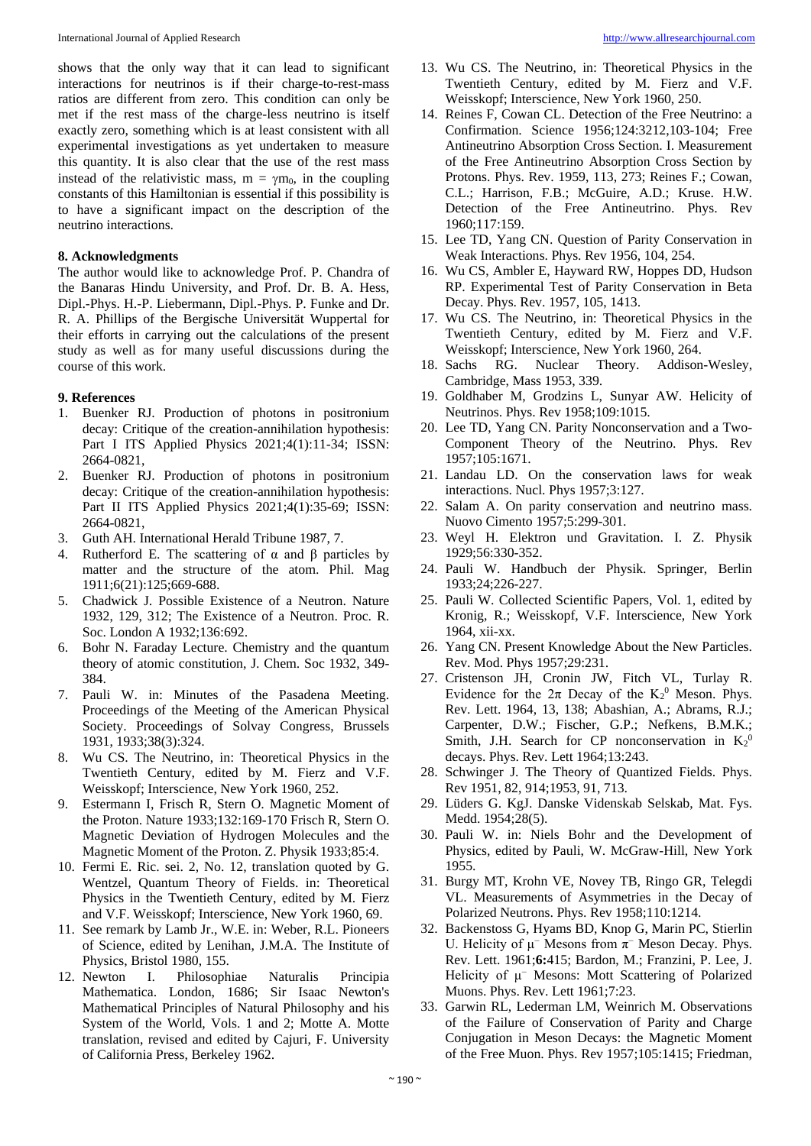shows that the only way that it can lead to significant interactions for neutrinos is if their charge-to-rest-mass ratios are different from zero. This condition can only be met if the rest mass of the charge-less neutrino is itself exactly zero, something which is at least consistent with all experimental investigations as yet undertaken to measure this quantity. It is also clear that the use of the rest mass instead of the relativistic mass,  $m = \gamma m_0$ , in the coupling constants of this Hamiltonian is essential if this possibility is to have a significant impact on the description of the neutrino interactions.

#### **8. Acknowledgments**

The author would like to acknowledge Prof. P. Chandra of the Banaras Hindu University, and Prof. Dr. B. A. Hess, Dipl.-Phys. H.-P. Liebermann, Dipl.-Phys. P. Funke and Dr. R. A. Phillips of the Bergische Universität Wuppertal for their efforts in carrying out the calculations of the present study as well as for many useful discussions during the course of this work.

# **9. References**

- 1. Buenker RJ. Production of photons in positronium decay: Critique of the creation-annihilation hypothesis: Part I ITS Applied Physics 2021;4(1):11-34; ISSN: 2664-0821,
- 2. Buenker RJ. Production of photons in positronium decay: Critique of the creation-annihilation hypothesis: Part II ITS Applied Physics 2021;4(1):35-69; ISSN: 2664-0821,
- 3. Guth AH. International Herald Tribune 1987, 7.
- 4. Rutherford E. The scattering of α and β particles by matter and the structure of the atom. Phil. Mag 1911;6(21):125;669-688.
- 5. Chadwick J. Possible Existence of a Neutron. Nature 1932, 129, 312; The Existence of a Neutron. Proc. R. Soc. London A 1932;136:692.
- 6. Bohr N. Faraday Lecture. Chemistry and the quantum theory of atomic constitution, J. Chem. Soc 1932, 349- 384.
- 7. Pauli W. in: Minutes of the Pasadena Meeting. Proceedings of the Meeting of the American Physical Society. Proceedings of Solvay Congress, Brussels 1931, 1933;38(3):324.
- 8. Wu CS. The Neutrino, in: Theoretical Physics in the Twentieth Century, edited by M. Fierz and V.F. Weisskopf; Interscience, New York 1960, 252.
- 9. Estermann I, Frisch R, Stern O. Magnetic Moment of the Proton. Nature 1933;132:169-170 Frisch R, Stern O. Magnetic Deviation of Hydrogen Molecules and the Magnetic Moment of the Proton. Z. Physik 1933;85:4.
- 10. Fermi E. Ric. sei. 2, No. 12, translation quoted by G. Wentzel, Quantum Theory of Fields. in: Theoretical Physics in the Twentieth Century, edited by M. Fierz and V.F. Weisskopf; Interscience, New York 1960, 69.
- 11. See remark by Lamb Jr., W.E. in: Weber, R.L. Pioneers of Science, edited by Lenihan, J.M.A. The Institute of Physics, Bristol 1980, 155.
- 12. Newton I. Philosophiae Naturalis Principia Mathematica. London, 1686; Sir Isaac Newton's Mathematical Principles of Natural Philosophy and his System of the World, Vols. 1 and 2; Motte A. Motte translation, revised and edited by Cajuri, F. University of California Press, Berkeley 1962.
- 13. Wu CS. The Neutrino, in: Theoretical Physics in the Twentieth Century, edited by M. Fierz and V.F. Weisskopf; Interscience, New York 1960, 250.
- 14. Reines F, Cowan CL. Detection of the Free Neutrino: a Confirmation. Science 1956;124:3212,103-104; Free Antineutrino Absorption Cross Section. I. Measurement of the Free Antineutrino Absorption Cross Section by Protons. Phys. Rev. 1959, 113, 273; Reines F.; Cowan, C.L.; Harrison, F.B.; McGuire, A.D.; Kruse. H.W. Detection of the Free Antineutrino. Phys. Rev 1960;117:159.
- 15. Lee TD, Yang CN. Question of Parity Conservation in Weak Interactions. Phys. Rev 1956, 104, 254.
- 16. Wu CS, Ambler E, Hayward RW, Hoppes DD, Hudson RP. Experimental Test of Parity Conservation in Beta Decay. Phys. Rev. 1957, 105, 1413.
- 17. Wu CS. The Neutrino, in: Theoretical Physics in the Twentieth Century, edited by M. Fierz and V.F. Weisskopf; Interscience, New York 1960, 264.
- 18. Sachs RG. Nuclear Theory. Addison-Wesley, Cambridge, Mass 1953, 339.
- 19. Goldhaber M, Grodzins L, Sunyar AW. Helicity of Neutrinos. Phys. Rev 1958;109:1015.
- 20. Lee TD, Yang CN. Parity Nonconservation and a Two-Component Theory of the Neutrino. Phys. Rev 1957;105:1671.
- 21. Landau LD. On the conservation laws for weak interactions. Nucl. Phys 1957;3:127.
- 22. Salam A. On parity conservation and neutrino mass. Nuovo Cimento 1957;5:299-301.
- 23. Weyl H. Elektron und Gravitation. I. Z. Physik 1929;56:330-352.
- 24. Pauli W. Handbuch der Physik. Springer, Berlin 1933;24;226-227.
- 25. Pauli W. Collected Scientific Papers, Vol. 1, edited by Kronig, R.; Weisskopf, V.F. Interscience, New York 1964, xii-xx.
- 26. Yang CN. Present Knowledge About the New Particles. Rev. Mod. Phys 1957;29:231.
- 27. Cristenson JH, Cronin JW, Fitch VL, Turlay R. Evidence for the  $2\pi$  Decay of the  $K_2$ <sup>0</sup> Meson. Phys. Rev. Lett. 1964, 13, 138; Abashian, A.; Abrams, R.J.; Carpenter, D.W.; Fischer, G.P.; Nefkens, B.M.K.; Smith, J.H. Search for CP nonconservation in  $K_2$ <sup>0</sup> decays. Phys. Rev. Lett 1964;13:243.
- 28. Schwinger J. The Theory of Quantized Fields. Phys. Rev 1951, 82, 914;1953, 91, 713.
- 29. Lüders G. KgJ. Danske Videnskab Selskab, Mat. Fys. Medd. 1954;28(5).
- 30. Pauli W. in: Niels Bohr and the Development of Physics, edited by Pauli, W. McGraw-Hill, New York 1955.
- 31. Burgy MT, Krohn VE, Novey TB, Ringo GR, Telegdi VL. Measurements of Asymmetries in the Decay of Polarized Neutrons. Phys. Rev 1958;110:1214.
- 32. Backenstoss G, Hyams BD, Knop G, Marin PC, Stierlin U. Helicity of  $\mu^-$  Mesons from  $\pi^-$  Meson Decay. Phys. Rev. Lett. 1961;**6:**415; Bardon, M.; Franzini, P. Lee, J. Helicity of μ<sup>−</sup> Mesons: Mott Scattering of Polarized Muons. Phys. Rev. Lett 1961;7:23.
- 33. Garwin RL, Lederman LM, Weinrich M. Observations of the Failure of Conservation of Parity and Charge Conjugation in Meson Decays: the Magnetic Moment of the Free Muon. Phys. Rev 1957;105:1415; Friedman,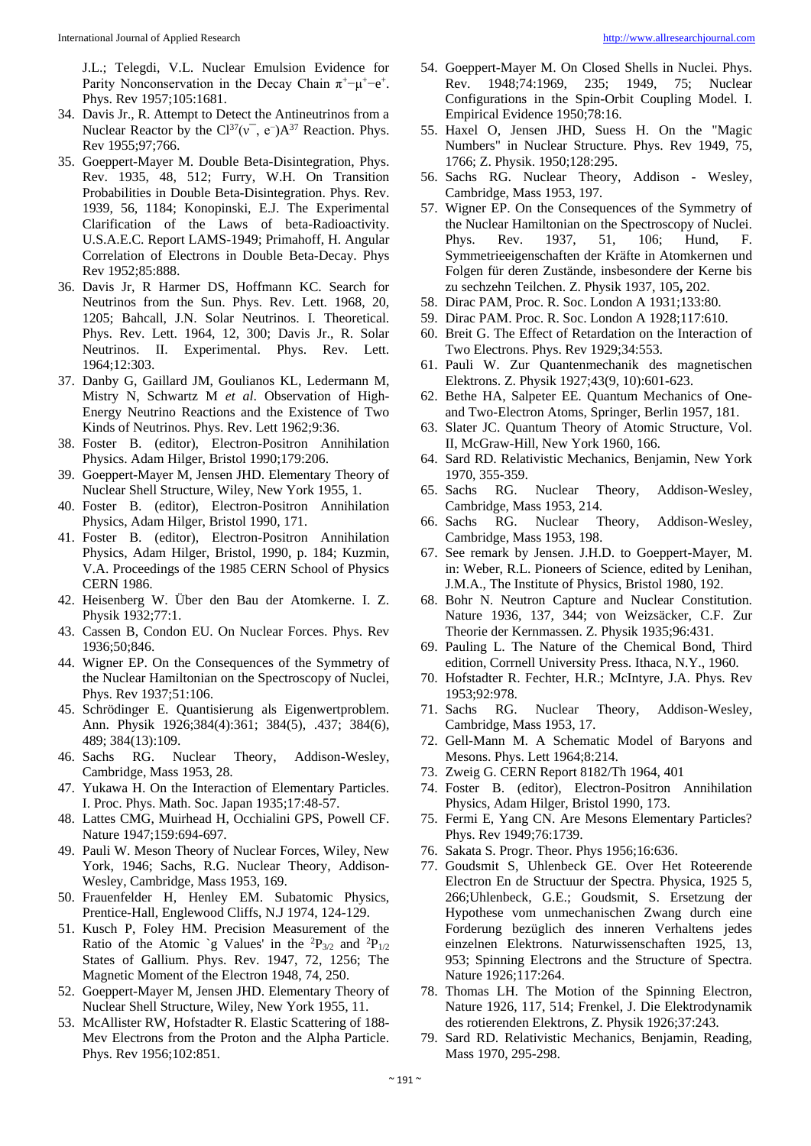J.L.; Telegdi, V.L. Nuclear Emulsion Evidence for Parity Nonconservation in the Decay Chain  $\pi^+$ - $\mu^+$ - $e^+$ . Phys. Rev 1957;105:1681.

- 34. Davis Jr., R. Attempt to Detect the Antineutrinos from a Nuclear Reactor by the  $Cl^{37}(v^-, e^-)A^{37}$  Reaction. Phys. Rev 1955;97;766.
- 35. Goeppert-Mayer M. Double Beta-Disintegration, Phys. Rev. 1935, 48, 512; Furry, W.H. On Transition Probabilities in Double Beta-Disintegration. Phys. Rev. 1939, 56, 1184; Konopinski, E.J. The Experimental Clarification of the Laws of beta-Radioactivity. U.S.A.E.C. Report LAMS-1949; Primahoff, H. Angular Correlation of Electrons in Double Beta-Decay. Phys Rev 1952;85:888.
- 36. Davis Jr, R Harmer DS, Hoffmann KC. Search for Neutrinos from the Sun. Phys. Rev. Lett. 1968, 20, 1205; Bahcall, J.N. Solar Neutrinos. I. Theoretical. Phys. Rev. Lett. 1964, 12, 300; Davis Jr., R. Solar Neutrinos. II. Experimental. Phys. Rev. Lett. 1964;12:303.
- 37. Danby G, Gaillard JM, Goulianos KL, Ledermann M, Mistry N, Schwartz M *et al*. Observation of High-Energy Neutrino Reactions and the Existence of Two Kinds of Neutrinos. Phys. Rev. Lett 1962;9:36.
- 38. Foster B. (editor), Electron-Positron Annihilation Physics. Adam Hilger, Bristol 1990;179:206.
- 39. Goeppert-Mayer M, Jensen JHD. Elementary Theory of Nuclear Shell Structure, Wiley, New York 1955, 1.
- 40. Foster B. (editor), Electron-Positron Annihilation Physics, Adam Hilger, Bristol 1990, 171.
- 41. Foster B. (editor), Electron-Positron Annihilation Physics, Adam Hilger, Bristol, 1990, p. 184; Kuzmin, V.A. Proceedings of the 1985 CERN School of Physics CERN 1986.
- 42. Heisenberg W. Über den Bau der Atomkerne. I. Z. Physik 1932;77:1.
- 43. Cassen B, Condon EU. On Nuclear Forces. Phys. Rev 1936;50;846.
- 44. Wigner EP. On the Consequences of the Symmetry of the Nuclear Hamiltonian on the Spectroscopy of Nuclei, Phys. Rev 1937;51:106.
- 45. Schrödinger E. Quantisierung als Eigenwertproblem. Ann. Physik 1926;384(4):361; 384(5), .437; 384(6), 489; 384(13):109.
- 46. Sachs RG. Nuclear Theory, Addison-Wesley, Cambridge, Mass 1953, 28.
- 47. Yukawa H. On the Interaction of Elementary Particles. I. Proc. Phys. Math. Soc. Japan 1935;17:48-57.
- 48. Lattes CMG, Muirhead H, Occhialini GPS, Powell CF. Nature 1947;159:694-697.
- 49. Pauli W. Meson Theory of Nuclear Forces, Wiley, New York, 1946; Sachs, R.G. Nuclear Theory, Addison-Wesley, Cambridge, Mass 1953, 169.
- 50. Frauenfelder H, Henley EM. Subatomic Physics, Prentice-Hall, Englewood Cliffs, N.J 1974, 124-129.
- 51. Kusch P, Foley HM. Precision Measurement of the Ratio of the Atomic `g Values' in the  ${}^{2}P_{3/2}$  and  ${}^{2}P_{1/2}$ States of Gallium. Phys. Rev. 1947, 72, 1256; The Magnetic Moment of the Electron 1948, 74, 250.
- 52. Goeppert-Mayer M, Jensen JHD. Elementary Theory of Nuclear Shell Structure, Wiley, New York 1955, 11.
- 53. McAllister RW, Hofstadter R. Elastic Scattering of 188- Mev Electrons from the Proton and the Alpha Particle. Phys. Rev 1956;102:851.
- 54. Goeppert-Mayer M. On Closed Shells in Nuclei. Phys. Rev. 1948;74:1969, 235; 1949, 75; Nuclear Configurations in the Spin-Orbit Coupling Model. I. Empirical Evidence 1950;78:16.
- 55. Haxel O, Jensen JHD, Suess H. On the "Magic Numbers" in Nuclear Structure. Phys. Rev 1949, 75, 1766; Z. Physik. 1950;128:295.
- 56. Sachs RG. Nuclear Theory, Addison Wesley, Cambridge, Mass 1953, 197.
- 57. Wigner EP. On the Consequences of the Symmetry of the Nuclear Hamiltonian on the Spectroscopy of Nuclei. Phys. Rev. 1937, 51, 106; Hund, F. Symmetrieeigenschaften der Kräfte in Atomkernen und Folgen für deren Zustände, insbesondere der Kerne bis zu sechzehn Teilchen. Z. Physik 1937, 105**,** 202.
- 58. Dirac PAM, Proc. R. Soc. London A 1931;133:80.
- 59. Dirac PAM. Proc. R. Soc. London A 1928;117:610.
- 60. Breit G. The Effect of Retardation on the Interaction of Two Electrons. Phys. Rev 1929;34:553.
- 61. Pauli W. Zur Quantenmechanik des magnetischen Elektrons. Z. Physik 1927;43(9, 10):601-623.
- 62. Bethe HA, Salpeter EE. Quantum Mechanics of Oneand Two-Electron Atoms, Springer, Berlin 1957, 181.
- 63. Slater JC. Quantum Theory of Atomic Structure, Vol. II, McGraw-Hill, New York 1960, 166.
- 64. Sard RD. Relativistic Mechanics, Benjamin, New York 1970, 355-359.
- 65. Sachs RG. Nuclear Theory, Addison-Wesley, Cambridge, Mass 1953, 214.
- 66. Sachs RG. Nuclear Theory, Addison-Wesley, Cambridge, Mass 1953, 198.
- 67. See remark by Jensen. J.H.D. to Goeppert-Mayer, M. in: Weber, R.L. Pioneers of Science, edited by Lenihan, J.M.A., The Institute of Physics, Bristol 1980, 192.
- 68. Bohr N. Neutron Capture and Nuclear Constitution. Nature 1936, 137, 344; von Weizsäcker, C.F. Zur Theorie der Kernmassen. Z. Physik 1935;96:431.
- 69. Pauling L. The Nature of the Chemical Bond, Third edition, Corrnell University Press. Ithaca, N.Y., 1960.
- 70. Hofstadter R. Fechter, H.R.; McIntyre, J.A. Phys. Rev 1953;92:978.
- 71. Sachs RG. Nuclear Theory, Addison-Wesley, Cambridge, Mass 1953, 17.
- 72. Gell-Mann M. A Schematic Model of Baryons and Mesons. Phys. Lett 1964;8:214.
- 73. Zweig G. CERN Report 8182/Th 1964, 401
- 74. Foster B. (editor), Electron-Positron Annihilation Physics, Adam Hilger, Bristol 1990, 173.
- 75. Fermi E, Yang CN. Are Mesons Elementary Particles? Phys. Rev 1949;76:1739.
- 76. Sakata S. Progr. Theor. Phys 1956;16:636.
- 77. Goudsmit S, Uhlenbeck GE. Over Het Roteerende Electron En de Structuur der Spectra. Physica, 1925 5, 266;Uhlenbeck, G.E.; Goudsmit, S. Ersetzung der Hypothese vom unmechanischen Zwang durch eine Forderung bezüglich des inneren Verhaltens jedes einzelnen Elektrons. Naturwissenschaften 1925, 13, 953; Spinning Electrons and the Structure of Spectra. Nature 1926;117:264.
- 78. Thomas LH. The Motion of the Spinning Electron, Nature 1926, 117, 514; Frenkel, J. Die Elektrodynamik des rotierenden Elektrons, Z. Physik 1926;37:243.
- 79. Sard RD. Relativistic Mechanics, Benjamin, Reading, Mass 1970, 295-298.